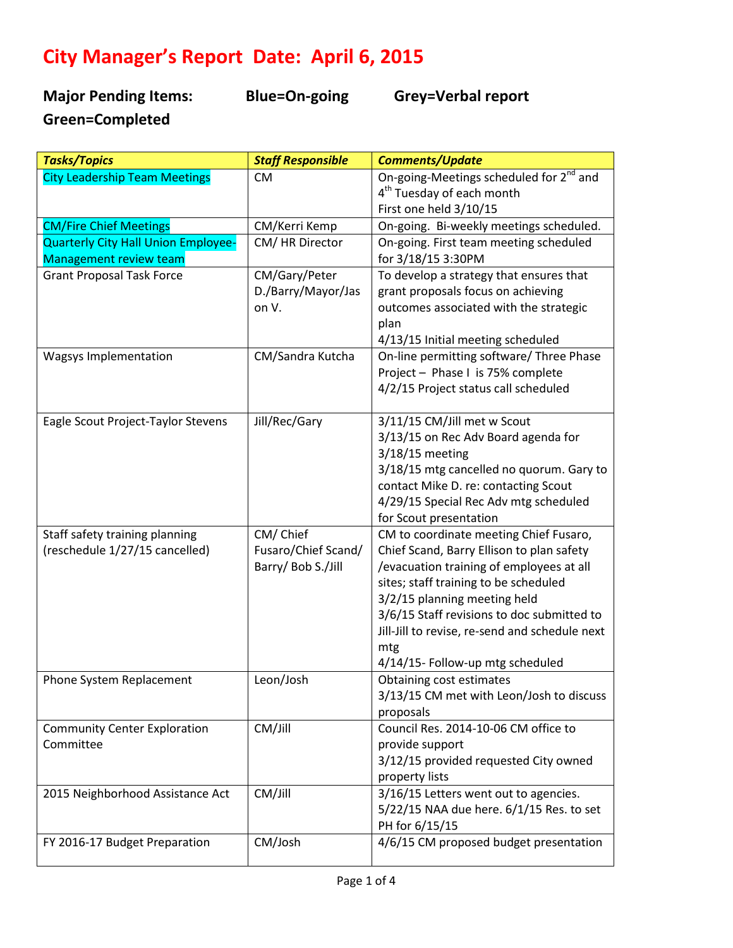## **City Manager's Report Date: April 6, 2015**

**Major Pending Items: Blue=On-going Grey=Verbal report Green=Completed** 

| On-going-Meetings scheduled for 2 <sup>nd</sup> and<br><b>City Leadership Team Meetings</b><br><b>CM</b><br>4 <sup>th</sup> Tuesday of each month<br>First one held 3/10/15<br><b>CM/Fire Chief Meetings</b><br>On-going. Bi-weekly meetings scheduled.<br>CM/Kerri Kemp<br>Quarterly City Hall Union Employee-<br>CM/HR Director<br>On-going. First team meeting scheduled<br>for 3/18/15 3:30PM<br><b>Management review team</b><br>CM/Gary/Peter<br><b>Grant Proposal Task Force</b><br>To develop a strategy that ensures that<br>D./Barry/Mayor/Jas<br>grant proposals focus on achieving<br>on V.<br>outcomes associated with the strategic<br>plan<br>4/13/15 Initial meeting scheduled<br>On-line permitting software/ Three Phase<br>CM/Sandra Kutcha<br>Wagsys Implementation<br>Project - Phase I is 75% complete<br>4/2/15 Project status call scheduled<br>3/11/15 CM/Jill met w Scout<br>Eagle Scout Project-Taylor Stevens<br>Jill/Rec/Gary<br>3/13/15 on Rec Adv Board agenda for<br>$3/18/15$ meeting<br>3/18/15 mtg cancelled no quorum. Gary to<br>contact Mike D. re: contacting Scout<br>4/29/15 Special Rec Adv mtg scheduled<br>for Scout presentation<br>CM/Chief<br>Staff safety training planning<br>CM to coordinate meeting Chief Fusaro,<br>Fusaro/Chief Scand/<br>(reschedule 1/27/15 cancelled)<br>Chief Scand, Barry Ellison to plan safety<br>Barry/ Bob S./Jill<br>/evacuation training of employees at all<br>sites; staff training to be scheduled<br>3/2/15 planning meeting held<br>3/6/15 Staff revisions to doc submitted to<br>Jill-Jill to revise, re-send and schedule next | <b>Tasks/Topics</b> | <b>Staff Responsible</b> | <b>Comments/Update</b> |
|------------------------------------------------------------------------------------------------------------------------------------------------------------------------------------------------------------------------------------------------------------------------------------------------------------------------------------------------------------------------------------------------------------------------------------------------------------------------------------------------------------------------------------------------------------------------------------------------------------------------------------------------------------------------------------------------------------------------------------------------------------------------------------------------------------------------------------------------------------------------------------------------------------------------------------------------------------------------------------------------------------------------------------------------------------------------------------------------------------------------------------------------------------------------------------------------------------------------------------------------------------------------------------------------------------------------------------------------------------------------------------------------------------------------------------------------------------------------------------------------------------------------------------------------------------------------------------------------------------------------|---------------------|--------------------------|------------------------|
|                                                                                                                                                                                                                                                                                                                                                                                                                                                                                                                                                                                                                                                                                                                                                                                                                                                                                                                                                                                                                                                                                                                                                                                                                                                                                                                                                                                                                                                                                                                                                                                                                        |                     |                          |                        |
|                                                                                                                                                                                                                                                                                                                                                                                                                                                                                                                                                                                                                                                                                                                                                                                                                                                                                                                                                                                                                                                                                                                                                                                                                                                                                                                                                                                                                                                                                                                                                                                                                        |                     |                          |                        |
|                                                                                                                                                                                                                                                                                                                                                                                                                                                                                                                                                                                                                                                                                                                                                                                                                                                                                                                                                                                                                                                                                                                                                                                                                                                                                                                                                                                                                                                                                                                                                                                                                        |                     |                          |                        |
|                                                                                                                                                                                                                                                                                                                                                                                                                                                                                                                                                                                                                                                                                                                                                                                                                                                                                                                                                                                                                                                                                                                                                                                                                                                                                                                                                                                                                                                                                                                                                                                                                        |                     |                          |                        |
|                                                                                                                                                                                                                                                                                                                                                                                                                                                                                                                                                                                                                                                                                                                                                                                                                                                                                                                                                                                                                                                                                                                                                                                                                                                                                                                                                                                                                                                                                                                                                                                                                        |                     |                          |                        |
|                                                                                                                                                                                                                                                                                                                                                                                                                                                                                                                                                                                                                                                                                                                                                                                                                                                                                                                                                                                                                                                                                                                                                                                                                                                                                                                                                                                                                                                                                                                                                                                                                        |                     |                          |                        |
|                                                                                                                                                                                                                                                                                                                                                                                                                                                                                                                                                                                                                                                                                                                                                                                                                                                                                                                                                                                                                                                                                                                                                                                                                                                                                                                                                                                                                                                                                                                                                                                                                        |                     |                          |                        |
|                                                                                                                                                                                                                                                                                                                                                                                                                                                                                                                                                                                                                                                                                                                                                                                                                                                                                                                                                                                                                                                                                                                                                                                                                                                                                                                                                                                                                                                                                                                                                                                                                        |                     |                          |                        |
|                                                                                                                                                                                                                                                                                                                                                                                                                                                                                                                                                                                                                                                                                                                                                                                                                                                                                                                                                                                                                                                                                                                                                                                                                                                                                                                                                                                                                                                                                                                                                                                                                        |                     |                          |                        |
|                                                                                                                                                                                                                                                                                                                                                                                                                                                                                                                                                                                                                                                                                                                                                                                                                                                                                                                                                                                                                                                                                                                                                                                                                                                                                                                                                                                                                                                                                                                                                                                                                        |                     |                          |                        |
|                                                                                                                                                                                                                                                                                                                                                                                                                                                                                                                                                                                                                                                                                                                                                                                                                                                                                                                                                                                                                                                                                                                                                                                                                                                                                                                                                                                                                                                                                                                                                                                                                        |                     |                          |                        |
|                                                                                                                                                                                                                                                                                                                                                                                                                                                                                                                                                                                                                                                                                                                                                                                                                                                                                                                                                                                                                                                                                                                                                                                                                                                                                                                                                                                                                                                                                                                                                                                                                        |                     |                          |                        |
|                                                                                                                                                                                                                                                                                                                                                                                                                                                                                                                                                                                                                                                                                                                                                                                                                                                                                                                                                                                                                                                                                                                                                                                                                                                                                                                                                                                                                                                                                                                                                                                                                        |                     |                          |                        |
|                                                                                                                                                                                                                                                                                                                                                                                                                                                                                                                                                                                                                                                                                                                                                                                                                                                                                                                                                                                                                                                                                                                                                                                                                                                                                                                                                                                                                                                                                                                                                                                                                        |                     |                          |                        |
|                                                                                                                                                                                                                                                                                                                                                                                                                                                                                                                                                                                                                                                                                                                                                                                                                                                                                                                                                                                                                                                                                                                                                                                                                                                                                                                                                                                                                                                                                                                                                                                                                        |                     |                          |                        |
|                                                                                                                                                                                                                                                                                                                                                                                                                                                                                                                                                                                                                                                                                                                                                                                                                                                                                                                                                                                                                                                                                                                                                                                                                                                                                                                                                                                                                                                                                                                                                                                                                        |                     |                          |                        |
|                                                                                                                                                                                                                                                                                                                                                                                                                                                                                                                                                                                                                                                                                                                                                                                                                                                                                                                                                                                                                                                                                                                                                                                                                                                                                                                                                                                                                                                                                                                                                                                                                        |                     |                          |                        |
|                                                                                                                                                                                                                                                                                                                                                                                                                                                                                                                                                                                                                                                                                                                                                                                                                                                                                                                                                                                                                                                                                                                                                                                                                                                                                                                                                                                                                                                                                                                                                                                                                        |                     |                          |                        |
|                                                                                                                                                                                                                                                                                                                                                                                                                                                                                                                                                                                                                                                                                                                                                                                                                                                                                                                                                                                                                                                                                                                                                                                                                                                                                                                                                                                                                                                                                                                                                                                                                        |                     |                          |                        |
|                                                                                                                                                                                                                                                                                                                                                                                                                                                                                                                                                                                                                                                                                                                                                                                                                                                                                                                                                                                                                                                                                                                                                                                                                                                                                                                                                                                                                                                                                                                                                                                                                        |                     |                          |                        |
|                                                                                                                                                                                                                                                                                                                                                                                                                                                                                                                                                                                                                                                                                                                                                                                                                                                                                                                                                                                                                                                                                                                                                                                                                                                                                                                                                                                                                                                                                                                                                                                                                        |                     |                          |                        |
|                                                                                                                                                                                                                                                                                                                                                                                                                                                                                                                                                                                                                                                                                                                                                                                                                                                                                                                                                                                                                                                                                                                                                                                                                                                                                                                                                                                                                                                                                                                                                                                                                        |                     |                          |                        |
|                                                                                                                                                                                                                                                                                                                                                                                                                                                                                                                                                                                                                                                                                                                                                                                                                                                                                                                                                                                                                                                                                                                                                                                                                                                                                                                                                                                                                                                                                                                                                                                                                        |                     |                          |                        |
|                                                                                                                                                                                                                                                                                                                                                                                                                                                                                                                                                                                                                                                                                                                                                                                                                                                                                                                                                                                                                                                                                                                                                                                                                                                                                                                                                                                                                                                                                                                                                                                                                        |                     |                          |                        |
|                                                                                                                                                                                                                                                                                                                                                                                                                                                                                                                                                                                                                                                                                                                                                                                                                                                                                                                                                                                                                                                                                                                                                                                                                                                                                                                                                                                                                                                                                                                                                                                                                        |                     |                          |                        |
|                                                                                                                                                                                                                                                                                                                                                                                                                                                                                                                                                                                                                                                                                                                                                                                                                                                                                                                                                                                                                                                                                                                                                                                                                                                                                                                                                                                                                                                                                                                                                                                                                        |                     |                          |                        |
|                                                                                                                                                                                                                                                                                                                                                                                                                                                                                                                                                                                                                                                                                                                                                                                                                                                                                                                                                                                                                                                                                                                                                                                                                                                                                                                                                                                                                                                                                                                                                                                                                        |                     |                          |                        |
|                                                                                                                                                                                                                                                                                                                                                                                                                                                                                                                                                                                                                                                                                                                                                                                                                                                                                                                                                                                                                                                                                                                                                                                                                                                                                                                                                                                                                                                                                                                                                                                                                        |                     |                          |                        |
|                                                                                                                                                                                                                                                                                                                                                                                                                                                                                                                                                                                                                                                                                                                                                                                                                                                                                                                                                                                                                                                                                                                                                                                                                                                                                                                                                                                                                                                                                                                                                                                                                        |                     |                          | mtg                    |
| 4/14/15- Follow-up mtg scheduled                                                                                                                                                                                                                                                                                                                                                                                                                                                                                                                                                                                                                                                                                                                                                                                                                                                                                                                                                                                                                                                                                                                                                                                                                                                                                                                                                                                                                                                                                                                                                                                       |                     |                          |                        |
| Leon/Josh<br>Obtaining cost estimates<br>Phone System Replacement                                                                                                                                                                                                                                                                                                                                                                                                                                                                                                                                                                                                                                                                                                                                                                                                                                                                                                                                                                                                                                                                                                                                                                                                                                                                                                                                                                                                                                                                                                                                                      |                     |                          |                        |
| 3/13/15 CM met with Leon/Josh to discuss                                                                                                                                                                                                                                                                                                                                                                                                                                                                                                                                                                                                                                                                                                                                                                                                                                                                                                                                                                                                                                                                                                                                                                                                                                                                                                                                                                                                                                                                                                                                                                               |                     |                          |                        |
| proposals                                                                                                                                                                                                                                                                                                                                                                                                                                                                                                                                                                                                                                                                                                                                                                                                                                                                                                                                                                                                                                                                                                                                                                                                                                                                                                                                                                                                                                                                                                                                                                                                              |                     |                          |                        |
| CM/Jill<br>Council Res. 2014-10-06 CM office to<br><b>Community Center Exploration</b>                                                                                                                                                                                                                                                                                                                                                                                                                                                                                                                                                                                                                                                                                                                                                                                                                                                                                                                                                                                                                                                                                                                                                                                                                                                                                                                                                                                                                                                                                                                                 |                     |                          |                        |
| Committee<br>provide support                                                                                                                                                                                                                                                                                                                                                                                                                                                                                                                                                                                                                                                                                                                                                                                                                                                                                                                                                                                                                                                                                                                                                                                                                                                                                                                                                                                                                                                                                                                                                                                           |                     |                          |                        |
| 3/12/15 provided requested City owned                                                                                                                                                                                                                                                                                                                                                                                                                                                                                                                                                                                                                                                                                                                                                                                                                                                                                                                                                                                                                                                                                                                                                                                                                                                                                                                                                                                                                                                                                                                                                                                  |                     |                          |                        |
| property lists                                                                                                                                                                                                                                                                                                                                                                                                                                                                                                                                                                                                                                                                                                                                                                                                                                                                                                                                                                                                                                                                                                                                                                                                                                                                                                                                                                                                                                                                                                                                                                                                         |                     |                          |                        |
| CM/Jill<br>3/16/15 Letters went out to agencies.<br>2015 Neighborhood Assistance Act                                                                                                                                                                                                                                                                                                                                                                                                                                                                                                                                                                                                                                                                                                                                                                                                                                                                                                                                                                                                                                                                                                                                                                                                                                                                                                                                                                                                                                                                                                                                   |                     |                          |                        |
| 5/22/15 NAA due here. 6/1/15 Res. to set                                                                                                                                                                                                                                                                                                                                                                                                                                                                                                                                                                                                                                                                                                                                                                                                                                                                                                                                                                                                                                                                                                                                                                                                                                                                                                                                                                                                                                                                                                                                                                               |                     |                          |                        |
| PH for 6/15/15                                                                                                                                                                                                                                                                                                                                                                                                                                                                                                                                                                                                                                                                                                                                                                                                                                                                                                                                                                                                                                                                                                                                                                                                                                                                                                                                                                                                                                                                                                                                                                                                         |                     |                          |                        |
| 4/6/15 CM proposed budget presentation<br>CM/Josh<br>FY 2016-17 Budget Preparation                                                                                                                                                                                                                                                                                                                                                                                                                                                                                                                                                                                                                                                                                                                                                                                                                                                                                                                                                                                                                                                                                                                                                                                                                                                                                                                                                                                                                                                                                                                                     |                     |                          |                        |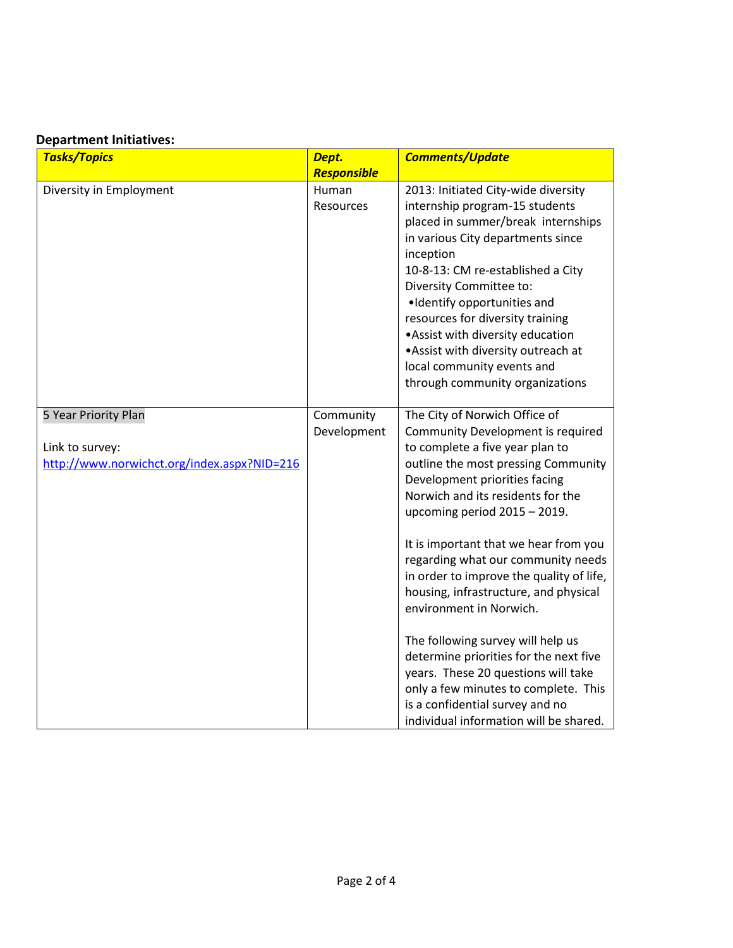## **Department Initiatives:**

| <b>Tasks/Topics</b>                                                                    | Dept.                    | <b>Comments/Update</b>                                                                                                                                                                                                                                                                                                                                                                                                                                                                                                                                                                                                                                                                       |
|----------------------------------------------------------------------------------------|--------------------------|----------------------------------------------------------------------------------------------------------------------------------------------------------------------------------------------------------------------------------------------------------------------------------------------------------------------------------------------------------------------------------------------------------------------------------------------------------------------------------------------------------------------------------------------------------------------------------------------------------------------------------------------------------------------------------------------|
|                                                                                        | Responsible              |                                                                                                                                                                                                                                                                                                                                                                                                                                                                                                                                                                                                                                                                                              |
| Diversity in Employment                                                                | Human<br>Resources       | 2013: Initiated City-wide diversity<br>internship program-15 students<br>placed in summer/break internships<br>in various City departments since<br>inception<br>10-8-13: CM re-established a City<br>Diversity Committee to:<br>·Identify opportunities and<br>resources for diversity training<br>. Assist with diversity education<br>. Assist with diversity outreach at<br>local community events and<br>through community organizations                                                                                                                                                                                                                                                |
| 5 Year Priority Plan<br>Link to survey:<br>http://www.norwichct.org/index.aspx?NID=216 | Community<br>Development | The City of Norwich Office of<br>Community Development is required<br>to complete a five year plan to<br>outline the most pressing Community<br>Development priorities facing<br>Norwich and its residents for the<br>upcoming period 2015 - 2019.<br>It is important that we hear from you<br>regarding what our community needs<br>in order to improve the quality of life,<br>housing, infrastructure, and physical<br>environment in Norwich.<br>The following survey will help us<br>determine priorities for the next five<br>years. These 20 questions will take<br>only a few minutes to complete. This<br>is a confidential survey and no<br>individual information will be shared. |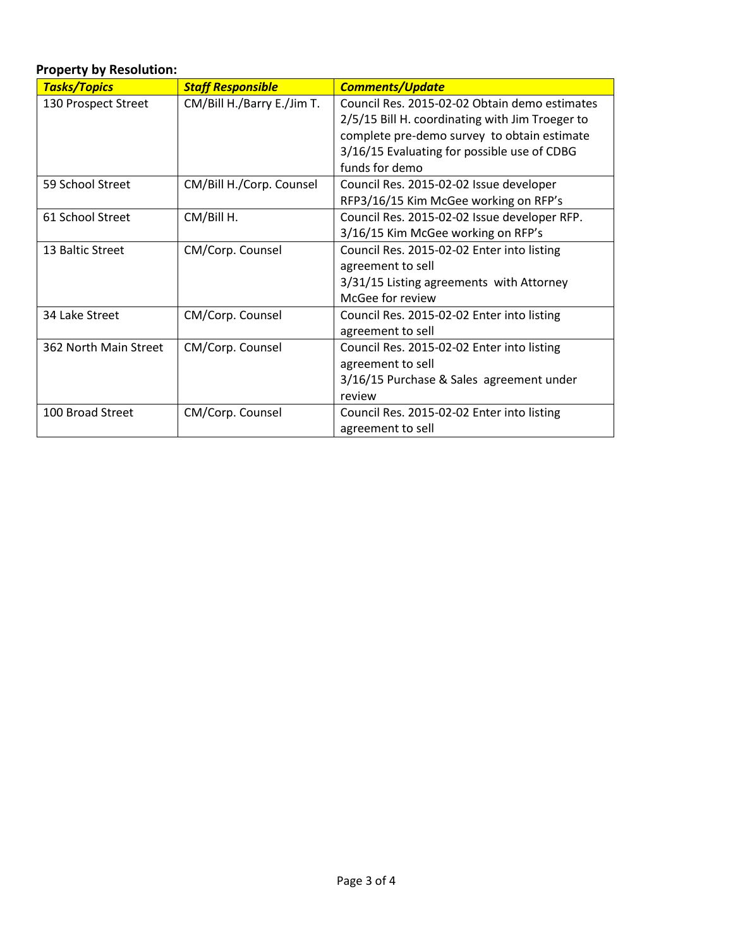## **Property by Resolution:** *Tasks/Topics Staff Responsible Comments/Update* 130 Prospect Street | CM/Bill H./Barry E./Jim T. | Council Res. 2015-02-02 Obtain demo estimates 2/5/15 Bill H. coordinating with Jim Troeger to complete pre-demo survey to obtain estimate 3/16/15 Evaluating for possible use of CDBG funds for demo 59 School Street CM/Bill H./Corp. Counsel Council Res. 2015-02-02 Issue developer RFP3/16/15 Kim McGee working on RFP's 61 School Street CM/Bill H. Council Res. 2015-02-02 Issue developer RFP. 3/16/15 Kim McGee working on RFP's 13 Baltic Street | CM/Corp. Counsel | Council Res. 2015-02-02 Enter into listing agreement to sell 3/31/15 Listing agreements with Attorney McGee for review 34 Lake Street CM/Corp. Counsel Council Res. 2015-02-02 Enter into listing agreement to sell 362 North Main Street | CM/Corp. Counsel | Council Res. 2015-02-02 Enter into listing agreement to sell 3/16/15 Purchase & Sales agreement under review 100 Broad Street | CM/Corp. Counsel | Council Res. 2015-02-02 Enter into listing agreement to sell